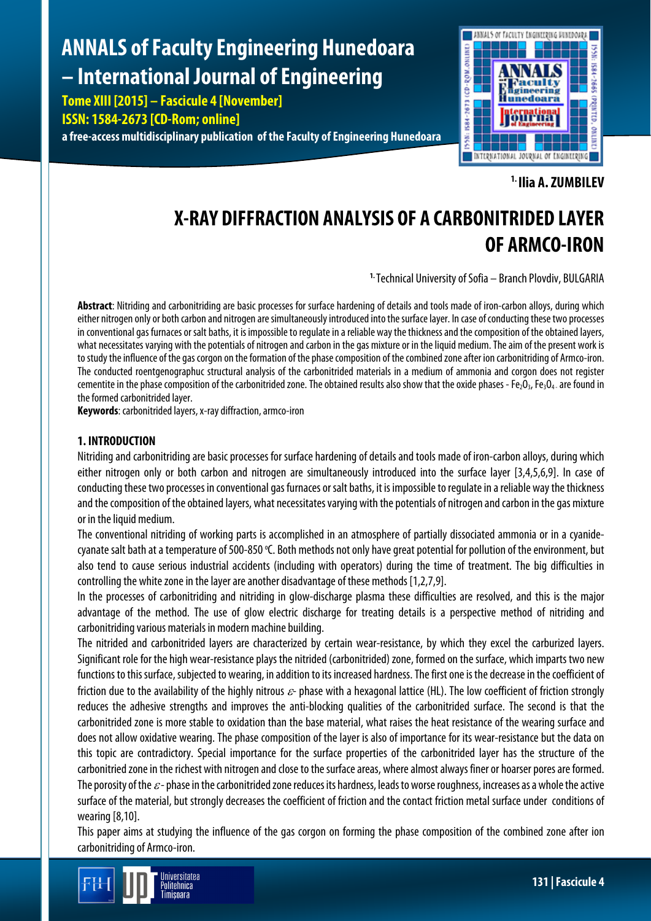# **ANNALS of Faculty Engineering Hunedoara – International Journal of Engineering**

**Tome XIII [2015] – Fascicule 4 [November] ISSN: 1584-2673 [CD-Rom; online] a free-access multidisciplinary publication of the Faculty of Engineering Hunedoara**



**1. Ilia A. ZUMBILEV**

# **X-RAY DIFFRACTION ANALYSIS OF A CARBONITRIDED LAYER OF ARMCO-IRON**

**1.** Technical University of Sofia – Branch Plovdiv, BULGARIA

**Abstract**: Nitriding and carbonitriding are basic processes for surface hardening of details and tools made of iron-carbon alloys, during which either nitrogen only or both carbon and nitrogen are simultaneously introduced into the surface layer. In case of conducting these two processes in conventional gas furnaces or salt baths, it is impossible to regulate in a reliable waythe thickness and the composition of the obtained layers, what necessitates varying with the potentials of nitrogen and carbon in the gas mixture or in the liquid medium. The aim of the present work is to studythe influence of the gas corgon on the formation of the phase composition of the combined zone after ion carbonitriding of Armco-iron. The conducted roentgenographuc structural analysis of the carbonitrided materials in a medium of ammonia and corgon does not register cementite in the phase composition of the carbonitrided zone. The obtained results also show that the oxide phases - Fe<sub>2</sub>O<sub>3</sub>, Fe<sub>3</sub>O<sub>4</sub>. are found in the formed carbonitrided layer.

**Keywords**: carbonitrided layers, x-ray diffraction, armco-iron

# **1. INTRODUCTION**

Nitriding and carbonitriding are basic processes for surface hardening of details and tools made of iron-carbon alloys, during which either nitrogen only or both carbon and nitrogen are simultaneously introduced into the surface layer [3,4,5,6,9]. In case of conducting these two processes in conventional gas furnaces or salt baths, it is impossible to regulate in a reliable way the thickness and the composition of the obtained layers, what necessitates varying with the potentials of nitrogen and carbon in the gas mixture or in the liquid medium.

The conventional nitriding of working parts is accomplished in an atmosphere of partially dissociated ammonia or in a cyanidecyanate salt bath at a temperature of 500-850 °C. Both methods not only have great potential for pollution of the environment, but also tend to cause serious industrial accidents (including with operators) during the time of treatment. The big difficulties in controlling the white zone in the layer are another disadvantage of these methods [1,2,7,9].

In the processes of carbonitriding and nitriding in glow-discharge plasma these difficulties are resolved, and this is the major advantage of the method. The use of glow electric discharge for treating details is a perspective method of nitriding and carbonitriding various materials in modern machine building.

The nitrided and carbonitrided layers are characterized by certain wear-resistance, by which they excel the carburized layers. Significant role for the high wear-resistance plays the nitrided (carbonitrided) zone, formed on the surface, which imparts two new functions to this surface, subjected to wearing, in addition to its increased hardness. The first one is the decrease in the coefficient of friction due to the availability of the highly nitrous  $\varepsilon$ - phase with a hexagonal lattice (HL). The low coefficient of friction strongly reduces the adhesive strengths and improves the anti-blocking qualities of the carbonitrided surface. The second is that the carbonitrided zone is more stable to oxidation than the base material, what raises the heat resistance of the wearing surface and does not allow oxidative wearing. The phase composition of the layer is also of importance for its wear-resistance but the data on this topic are contradictory. Special importance for the surface properties of the carbonitrided layer has the structure of the carbonitried zone in the richest with nitrogen and close to the surface areas, where almost always finer or hoarser pores areformed. The porosity of the  $\varepsilon$ -phase in the carbonitrided zone reduces its hardness, leads to worse roughness, increases as a whole the active surface of the material, but strongly decreases the coefficient of friction and the contact friction metal surface under conditions of wearing [8,10].

This paper aims at studying the influence of the gas corgon on forming the phase composition of the combined zone after ion carbonitriding of Armco-iron.

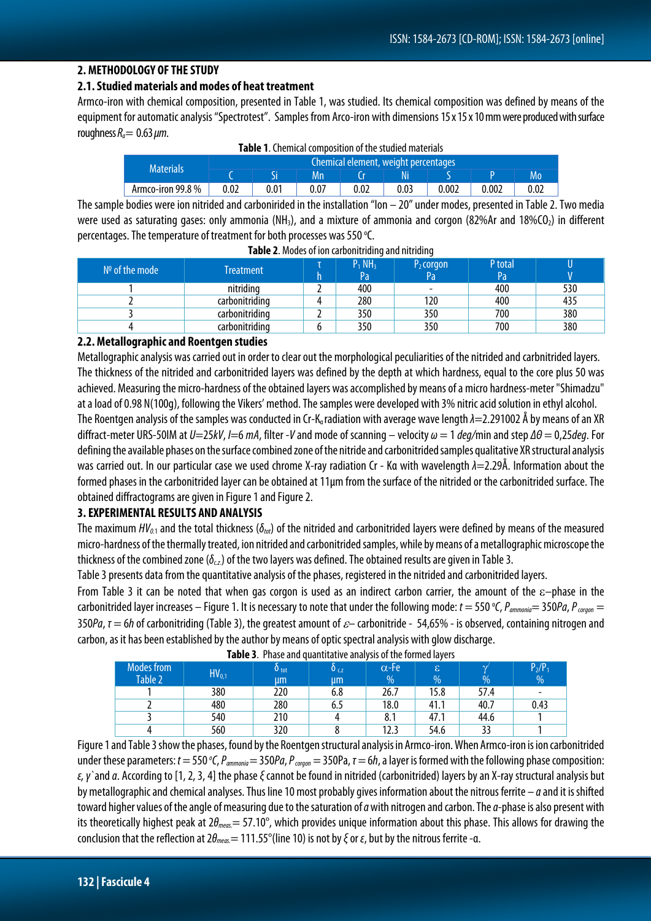#### **2. METHODOLOGY OF THE STUDY**

#### **2.1.Studied materials and modes of heat treatment**

Armco-iron with chemical composition, presented in Table 1, was studied. Its chemical composition was defined by means of the equipment for automatic analysis "Spectrotest". Samples from Arco-iron with dimensions 15 x 15 x 10 mm were produced with surface roughness  $R_a$  = 0.63  $\mu$ m.

| <b>Table 1.</b> Chemical composition of the studied materials |                                      |  |      |      |      |       |       |      |  |
|---------------------------------------------------------------|--------------------------------------|--|------|------|------|-------|-------|------|--|
| <b>Materials</b>                                              | Chemical element, weight percentages |  |      |      |      |       |       |      |  |
|                                                               |                                      |  | Mn   |      |      |       |       | Mo   |  |
| Armco-iron 99.8 %                                             | 0.02                                 |  | 0.07 | 0.02 | 0.03 | 0.002 | 0.002 | 0.02 |  |

**Table 1**. Chemical composition of the studied materials

The sample bodies were ion nitrided and carbonirided in the installation "Ion – 20" under modes, presented in Table 2. Two media were used as saturating gases: only ammonia (NH<sub>3</sub>), and a mixture of ammonia and corgon (82%Ar and 18%CO<sub>2</sub>) in different percentages. The temperature of treatment for both processes was 550 °C.

| $N°$ of the mode | Treatment      | <br>$P_1 NH_3$<br>Pa | P <sub>2</sub> corgon<br>Pa | P total<br>Pa |     |
|------------------|----------------|----------------------|-----------------------------|---------------|-----|
|                  | nitriding      | 400                  |                             | 400           | 530 |
|                  | carbonitriding | 280                  | 120                         | 400           | 435 |
|                  | carbonitriding | 350                  | 350                         | 700           | 380 |
|                  | carbonitriding | 350                  | 350                         | 700           | 380 |

**Table 2**. Modes of ion carbonitriding and nitriding

# **2.2. Metallographic and Roentgen studies**

Metallographic analysis was carried out in order to clear out the morphological peculiarities of the nitrided and carbnitrided layers. The thickness of the nitrided and carbonitrided layers was defined by the depth at which hardness, equal to the core plus 50 was achieved. Measuring the micro-hardness of the obtained layers was accomplished by means of a micro hardness-meter "Shimadzu" at a load of 0.98 N(100g), following the Vikers' method. The samples were developed with 3% nitric acid solution in ethyl alcohol. The Roentgen analysis of the samples was conducted in Cr-K<sub>α</sub> radiation with average wave length  $\lambda$ =2.291002 Å by means of an XR diffract-meter URS-50IМ at *U*=25*kV*, *I*=6 *mA*, filter -*V* and mode of scanning – velocity *ω* = 1 *deg/*min and step *ΔΘ* = 0,25*deg*. For defining the available phases on the surface combined zone of the nitride and carbonitrided samples qualitative XR structural analysis was carried out. In our particular case we used chrome X-ray radiation Cr - Kα with wavelength  $λ=2.29Å$ . Information about the formed phases in the carbonitrided layer can be obtained at 11µm from the surface of the nitrided or the carbonitrided surface. The obtained diffractograms are given in Figure 1 and Figure 2.

# **3. EXPERIMENTAL RESULTS AND ANALYSIS**

The maximum *HV*<sub>0.1</sub> and the total thickness (δ<sub>tot</sub>) of the nitrided and carbonitrided layers were defined by means of the measured micro-hardness of the thermally treated, ion nitrided and carbonitrided samples, while by means of a metallographic microscope the thickness of the combined zone ( $\delta_{c}$ ) of the two layers was defined. The obtained results are given in Table 3.

Table 3 presents data from the quantitative analysis of the phases, registered in the nitrided and carbonitrided layers.

From Table 3 it can be noted that when gas corgon is used as an indirect carbon carrier, the amount of the ε–phase in the carbonitrided layer increases – Figure 1. It is necessary to note that under the following mode: *t* = 550 °С, Р<sub>аттопіа</sub> = 350Ра, Р<sub>согдоп</sub> = 350*Ра*, *τ* = 6*h*of carbonitriding(Table 3), the greatest amount of ε*–* carbonitride - 54,65% - is observed, containing nitrogen and carbon, as it has been established by the author by means of optic spectral analysis with glow discharge.

| ----                         |            |             |                 |                   |         |      |                          |
|------------------------------|------------|-------------|-----------------|-------------------|---------|------|--------------------------|
| <b>Modes from</b><br>Table 2 | $HV_{0,1}$ | 0 tot<br>μm | $0_{c,z}$<br>μm | $\alpha$ -Fe<br>% | ß.<br>% | %    | $P_2/P_1$<br>%           |
|                              | 380        | 220         | 6.8             | 26.7              | 15.8    | 57.4 | $\overline{\phantom{0}}$ |
|                              | 480        | 280         | 6.5             | 18.0              | 41.1    | 40.7 | 0.43                     |
|                              | 540        | 210         |                 | 8.1               | 47.1    | 44.6 |                          |
|                              | 560        | 320         |                 | 12.3              | 54.6    | 33   |                          |

**Таble 3**. Phase and quantitative analysis of the formed layers

Figure 1 and Table 3 show the phases, found by the Roentgen structural analysis in Armco-iron. When Armco-iron is ion carbonitrided ander these parameters: *t* = 550 <sup>*o*</sup>C, *P<sub>ammonia</sub>* = 350*Pa*, *P*<sub>∞rgon</sub> = 350Pa, τ = 6*h*, a layer is formed with the following phase composition: *ε, γ`*and*α*. According to [1, 2, 3, 4] the phase *ξ*cannot be found in nitrided (carbonitrided) layers by an X-ray structural analysis but by metallographic and chemical analyses. Thus line 10 most probably gives information about the nitrous ferrite – *α*and it is shifted toward higher values of the angle of measuring due to the saturation of *α*with nitrogen and carbon. The *α*-phase is also present with its theoretically highest peak at 2*θmeas.*= 57.10°, which provides unique information about this phase. This allows for drawing the conclusion that the reflection at 2*θmeas.*= 111.55°(line10) is not by *ξ*or *ε*, but by the nitrous ferrite -α.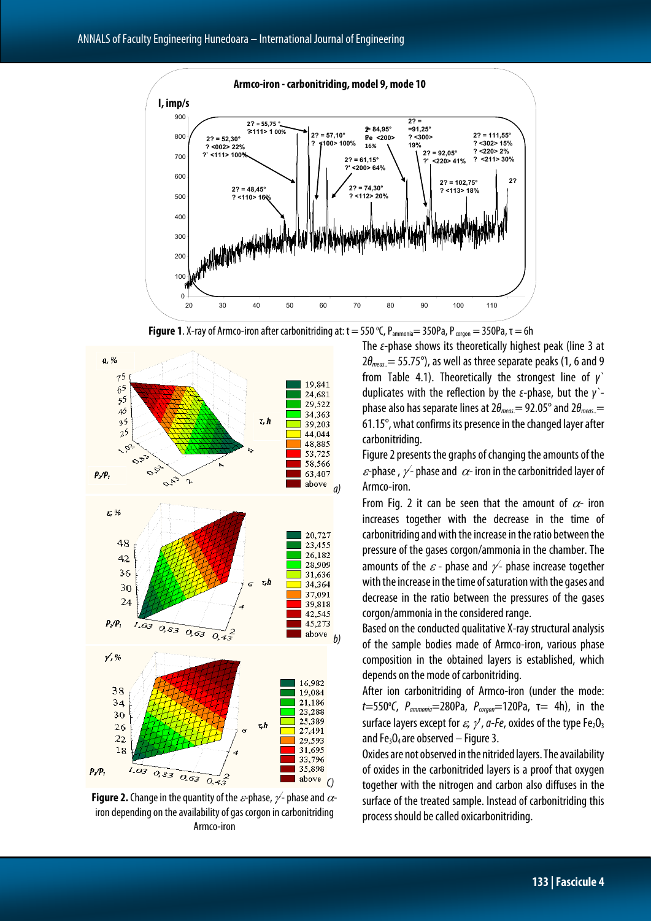

**Figure 1**. X-ray of Armco-iron after carbonitriding at:  $t = 550$  °C, P<sub>ammonia</sub> = 350Pa, P<sub>corgon</sub> = 350Pa,  $\tau = 6h$ 



**Figure 2.** Change in the quantity of the  $\varepsilon$ -phase,  $\nu$ - phase and  $\alpha$ iron depending on the availability of gas corgon in carbonitriding Armco-iron

The *ε*-phase shows its theoretically highest peak (line 3 at  $2\theta_{meas.}$  = 55.75°), as well as three separate peaks (1, 6 and 9 from Table 4.1). Theoretically the strongest line of *γ`* duplicates with the reflection by the *ε*-phase, but the *γ`* phase also has separate lines at 2*θmeas*.= 92.05°and2*θmeas*..= 61.15°, what confirms its presence in the changed layer after carbonitriding.

Figure 2 presents the graphs of changing the amounts of the  $\varepsilon$ -phase,  $\nu$ -phase and  $\alpha$ -iron in the carbonitrided layer of Armco-iron.

From Fig. 2 it can be seen that the amount of  $\alpha$ - iron increases together with the decrease in the time of carbonitriding and with the increase in the ratio between the pressure of the gases corgon/ammonia in the chamber. The amounts of the  $\varepsilon$  - phase and  $\nu$  - phase increase together with the increase in the time of saturation with the gases and decrease in the ratio between the pressures of the gases corgon/ammonia in the considered range.

Based on the conducted qualitative X-ray structural analysis of the sample bodies made of Armco-iron, various phase composition in the obtained layers is established, which depends on the mode of carbonitriding.

After ion carbonitriding of Armco-iron (under the mode:  $t = 550$ °*C*,  $P_{ammonia} = 280Pa$ ,  $P_{corgon} = 120Pa$ , τ= 4h), in the surface layers except for  $\varepsilon$ ,  $\gamma$ ,  $a$ -Fe, oxides of the type Fe<sub>2</sub>O<sub>3</sub> and Fe<sub>3</sub>O<sub>4</sub> are observed – Figure 3.

Oxides are not observed in the nitrided layers. The availability of oxides in the carbonitrided layers is a proof that oxygen together with the nitrogen and carbon also diffuses in the surface of the treated sample. Instead of carbonitriding this process should be called oxicarbonitriding.